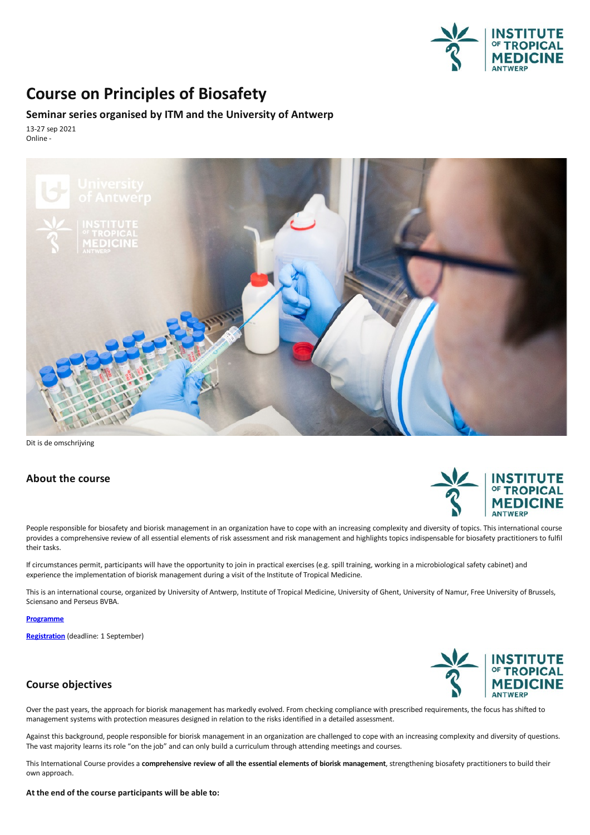

## **Course on Principles of Biosafety**

## **Seminar series organised by ITM and the University of Antwerp**

13-27 sep 2021 Online -



Dit is de omschrijving

### **About the course**



People responsible for biosafety and biorisk management in an organization have to cope with an increasing complexity and diversity of topics. This international course provides a comprehensive review of all essential elements of risk assessment and risk management and highlights topics indispensable for biosafety practitioners to fulfil their tasks.

If circumstances permit, participants will have the opportunity to join in practical exercises (e.g. spill training, working in a microbiological safety cabinet) and experience the implementation of biorisk management during a visit of the Institute of Tropical Medicine.

This is an international course, organized by University of Antwerp, Institute of Tropical Medicine, University of Ghent, University of Namur, Free University of Brussels, Sciensano and Perseus BVBA.

**[Programme](https://www.uantwerpen.be/en/summer-schools/principles-of-biosafety/programme/course-programme/)**

**[Registration](https://www.uantwerpen.be/en/summer-schools/principles-of-biosafety/registration/)** (deadline: 1 September)

# **MEDICINE ANTWERP**

## **Course objectives**

Over the past years, the approach for biorisk management has markedly evolved. From checking compliance with prescribed requirements, the focus has shifted to management systems with protection measures designed in relatio

Against this background, people responsible for biorisk management in an organization are challenged to cope with an increasing complexity and diversity of questions. The vast majority learns its role "on the job" and can only build a curriculum through attending meetings and courses.

This International Course provides a comprehensive review of all the essential elements of biorisk management, strengthening biosafety practitioners to build their own approach.

#### **At the end of the course participants will be able to:**